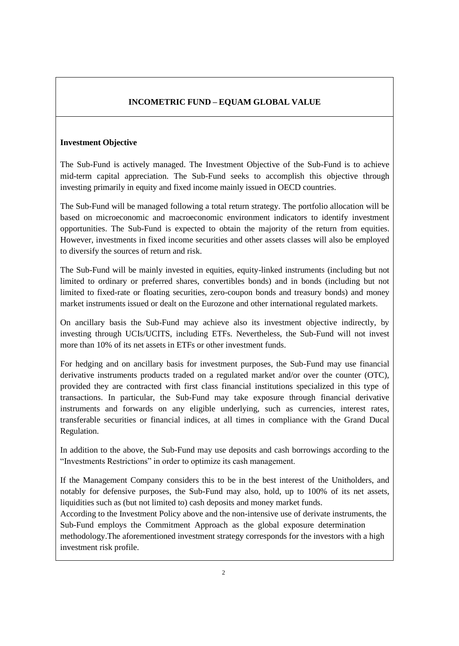### **Investment Objective**

The Sub-Fund is actively managed. The Investment Objective of the Sub-Fund is to achieve mid-term capital appreciation. The Sub-Fund seeks to accomplish this objective through investing primarily in equity and fixed income mainly issued in OECD countries.

The Sub-Fund will be managed following a total return strategy. The portfolio allocation will be based on microeconomic and macroeconomic environment indicators to identify investment opportunities. The Sub-Fund is expected to obtain the majority of the return from equities. However, investments in fixed income securities and other assets classes will also be employed to diversify the sources of return and risk.

The Sub-Fund will be mainly invested in equities, equity-linked instruments (including but not limited to ordinary or preferred shares, convertibles bonds) and in bonds (including but not limited to fixed-rate or floating securities, zero-coupon bonds and treasury bonds) and money market instruments issued or dealt on the Eurozone and other international regulated markets.

On ancillary basis the Sub-Fund may achieve also its investment objective indirectly, by investing through UCIs/UCITS, including ETFs. Nevertheless, the Sub-Fund will not invest more than 10% of its net assets in ETFs or other investment funds.

For hedging and on ancillary basis for investment purposes, the Sub-Fund may use financial derivative instruments products traded on a regulated market and/or over the counter (OTC), provided they are contracted with first class financial institutions specialized in this type of transactions. In particular, the Sub-Fund may take exposure through financial derivative instruments and forwards on any eligible underlying, such as currencies, interest rates, transferable securities or financial indices, at all times in compliance with the Grand Ducal Regulation.

In addition to the above, the Sub-Fund may use deposits and cash borrowings according to the "Investments Restrictions" in order to optimize its cash management.

If the Management Company considers this to be in the best interest of the Unitholders, and notably for defensive purposes, the Sub-Fund may also, hold, up to 100% of its net assets, liquidities such as (but not limited to) cash deposits and money market funds.

According to the Investment Policy above and the non-intensive use of derivate instruments, the Sub-Fund employs the Commitment Approach as the global exposure determination methodology.The aforementioned investment strategy corresponds for the investors with a high investment risk profile.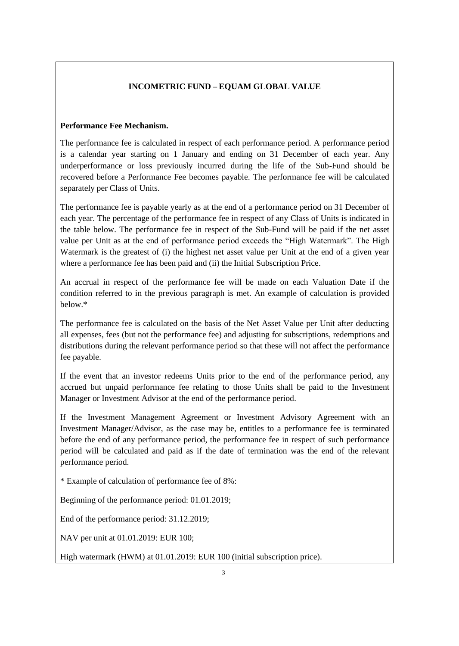#### **Performance Fee Mechanism.**

The performance fee is calculated in respect of each performance period. A performance period is a calendar year starting on 1 January and ending on 31 December of each year. Any underperformance or loss previously incurred during the life of the Sub-Fund should be recovered before a Performance Fee becomes payable. The performance fee will be calculated separately per Class of Units.

The performance fee is payable yearly as at the end of a performance period on 31 December of each year. The percentage of the performance fee in respect of any Class of Units is indicated in the table below. The performance fee in respect of the Sub-Fund will be paid if the net asset value per Unit as at the end of performance period exceeds the "High Watermark". The High Watermark is the greatest of (i) the highest net asset value per Unit at the end of a given year where a performance fee has been paid and (ii) the Initial Subscription Price.

An accrual in respect of the performance fee will be made on each Valuation Date if the condition referred to in the previous paragraph is met. An example of calculation is provided below.\*

The performance fee is calculated on the basis of the Net Asset Value per Unit after deducting all expenses, fees (but not the performance fee) and adjusting for subscriptions, redemptions and distributions during the relevant performance period so that these will not affect the performance fee payable.

If the event that an investor redeems Units prior to the end of the performance period, any accrued but unpaid performance fee relating to those Units shall be paid to the Investment Manager or Investment Advisor at the end of the performance period.

If the Investment Management Agreement or Investment Advisory Agreement with an Investment Manager/Advisor, as the case may be, entitles to a performance fee is terminated before the end of any performance period, the performance fee in respect of such performance period will be calculated and paid as if the date of termination was the end of the relevant performance period.

\* Example of calculation of performance fee of 8%:

Beginning of the performance period: 01.01.2019;

End of the performance period: 31.12.2019;

NAV per unit at 01.01.2019: EUR 100;

High watermark (HWM) at 01.01.2019: EUR 100 (initial subscription price).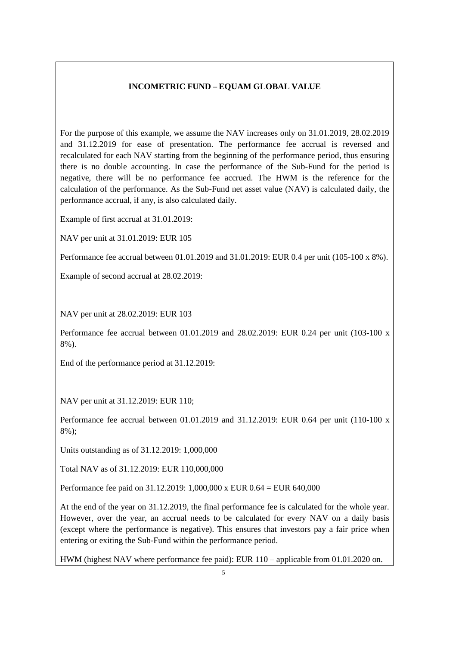For the purpose of this example, we assume the NAV increases only on 31.01.2019, 28.02.2019 and 31.12.2019 for ease of presentation. The performance fee accrual is reversed and recalculated for each NAV starting from the beginning of the performance period, thus ensuring there is no double accounting. In case the performance of the Sub-Fund for the period is negative, there will be no performance fee accrued. The HWM is the reference for the calculation of the performance. As the Sub-Fund net asset value (NAV) is calculated daily, the performance accrual, if any, is also calculated daily.

Example of first accrual at 31.01.2019:

NAV per unit at 31.01.2019: EUR 105

Performance fee accrual between 01.01.2019 and 31.01.2019: EUR 0.4 per unit (105-100 x 8%).

Example of second accrual at 28.02.2019:

NAV per unit at 28.02.2019: EUR 103

Performance fee accrual between 01.01.2019 and 28.02.2019: EUR 0.24 per unit (103-100 x 8%).

End of the performance period at 31.12.2019:

NAV per unit at 31.12.2019: EUR 110;

Performance fee accrual between  $01.01.2019$  and  $31.12.2019$ : EUR 0.64 per unit (110-100 x 8%);

Units outstanding as of 31.12.2019: 1,000,000

Total NAV as of 31.12.2019: EUR 110,000,000

Performance fee paid on 31.12.2019: 1,000,000 x EUR 0.64 = EUR 640,000

At the end of the year on 31.12.2019, the final performance fee is calculated for the whole year. However, over the year, an accrual needs to be calculated for every NAV on a daily basis (except where the performance is negative). This ensures that investors pay a fair price when entering or exiting the Sub-Fund within the performance period.

HWM (highest NAV where performance fee paid): EUR 110 – applicable from 01.01.2020 on.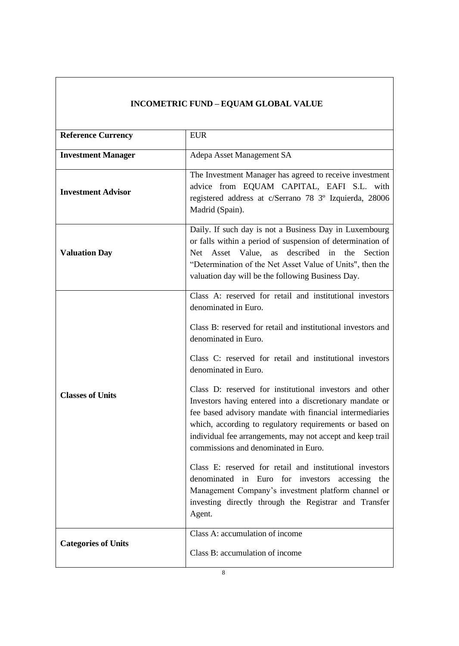| <b>Reference Currency</b>  | <b>EUR</b>                                                                                                                                                                                                                                                                                                                                                                                                                                                                                                                                                                                                                                                                                                                                                                                                                                                   |
|----------------------------|--------------------------------------------------------------------------------------------------------------------------------------------------------------------------------------------------------------------------------------------------------------------------------------------------------------------------------------------------------------------------------------------------------------------------------------------------------------------------------------------------------------------------------------------------------------------------------------------------------------------------------------------------------------------------------------------------------------------------------------------------------------------------------------------------------------------------------------------------------------|
| <b>Investment Manager</b>  | Adepa Asset Management SA                                                                                                                                                                                                                                                                                                                                                                                                                                                                                                                                                                                                                                                                                                                                                                                                                                    |
| <b>Investment Advisor</b>  | The Investment Manager has agreed to receive investment<br>advice from EQUAM CAPITAL, EAFI S.L. with<br>registered address at c/Serrano 78 3° Izquierda, 28006<br>Madrid (Spain).                                                                                                                                                                                                                                                                                                                                                                                                                                                                                                                                                                                                                                                                            |
| <b>Valuation Day</b>       | Daily. If such day is not a Business Day in Luxembourg<br>or falls within a period of suspension of determination of<br>Asset Value, as described in the<br>Net<br>Section<br>"Determination of the Net Asset Value of Units", then the<br>valuation day will be the following Business Day.                                                                                                                                                                                                                                                                                                                                                                                                                                                                                                                                                                 |
| <b>Classes of Units</b>    | Class A: reserved for retail and institutional investors<br>denominated in Euro.<br>Class B: reserved for retail and institutional investors and<br>denominated in Euro.<br>Class C: reserved for retail and institutional investors<br>denominated in Euro.<br>Class D: reserved for institutional investors and other<br>Investors having entered into a discretionary mandate or<br>fee based advisory mandate with financial intermediaries<br>which, according to regulatory requirements or based on<br>individual fee arrangements, may not accept and keep trail<br>commissions and denominated in Euro.<br>Class E: reserved for retail and institutional investors<br>denominated in Euro for investors<br>accessing the<br>Management Company's investment platform channel or<br>investing directly through the Registrar and Transfer<br>Agent. |
| <b>Categories of Units</b> | Class A: accumulation of income<br>Class B: accumulation of income                                                                                                                                                                                                                                                                                                                                                                                                                                                                                                                                                                                                                                                                                                                                                                                           |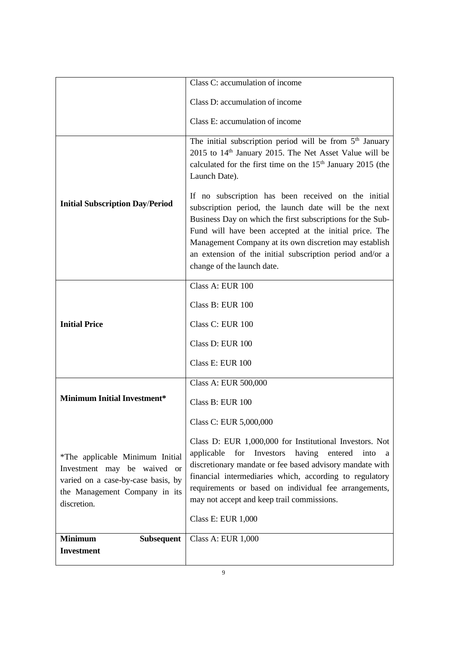|                                                                                                                                                      | Class C: accumulation of income                                                                                                                                                                                                                                                                                                                                                                   |
|------------------------------------------------------------------------------------------------------------------------------------------------------|---------------------------------------------------------------------------------------------------------------------------------------------------------------------------------------------------------------------------------------------------------------------------------------------------------------------------------------------------------------------------------------------------|
|                                                                                                                                                      | Class D: accumulation of income                                                                                                                                                                                                                                                                                                                                                                   |
|                                                                                                                                                      | Class E: accumulation of income                                                                                                                                                                                                                                                                                                                                                                   |
|                                                                                                                                                      | The initial subscription period will be from $5th$ January<br>2015 to 14 <sup>th</sup> January 2015. The Net Asset Value will be<br>calculated for the first time on the 15 <sup>th</sup> January 2015 (the<br>Launch Date).                                                                                                                                                                      |
| <b>Initial Subscription Day/Period</b>                                                                                                               | If no subscription has been received on the initial<br>subscription period, the launch date will be the next<br>Business Day on which the first subscriptions for the Sub-<br>Fund will have been accepted at the initial price. The<br>Management Company at its own discretion may establish<br>an extension of the initial subscription period and/or a<br>change of the launch date.          |
|                                                                                                                                                      | Class A: EUR 100                                                                                                                                                                                                                                                                                                                                                                                  |
|                                                                                                                                                      | Class B: EUR 100                                                                                                                                                                                                                                                                                                                                                                                  |
| <b>Initial Price</b>                                                                                                                                 | Class C: EUR 100                                                                                                                                                                                                                                                                                                                                                                                  |
|                                                                                                                                                      | Class D: EUR 100                                                                                                                                                                                                                                                                                                                                                                                  |
|                                                                                                                                                      | Class E: EUR 100                                                                                                                                                                                                                                                                                                                                                                                  |
|                                                                                                                                                      | Class A: EUR 500,000                                                                                                                                                                                                                                                                                                                                                                              |
| <b>Minimum Initial Investment*</b>                                                                                                                   | Class B: EUR 100                                                                                                                                                                                                                                                                                                                                                                                  |
|                                                                                                                                                      | Class C: EUR 5,000,000                                                                                                                                                                                                                                                                                                                                                                            |
| *The applicable Minimum Initial<br>Investment may be waived or<br>varied on a case-by-case basis, by<br>the Management Company in its<br>discretion. | Class D: EUR 1,000,000 for Institutional Investors. Not<br>having<br>applicable<br>Investors<br>entered<br>for<br>into<br><sub>a</sub><br>discretionary mandate or fee based advisory mandate with<br>financial intermediaries which, according to regulatory<br>requirements or based on individual fee arrangements,<br>may not accept and keep trail commissions.<br><b>Class E: EUR 1,000</b> |
|                                                                                                                                                      |                                                                                                                                                                                                                                                                                                                                                                                                   |
| <b>Minimum</b><br><b>Subsequent</b>                                                                                                                  | <b>Class A: EUR 1,000</b>                                                                                                                                                                                                                                                                                                                                                                         |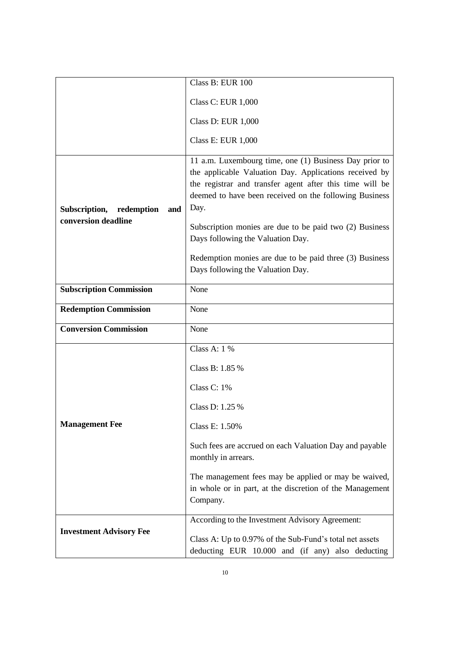|                                                        | Class B: EUR 100                                                                                                                                                                                                                               |
|--------------------------------------------------------|------------------------------------------------------------------------------------------------------------------------------------------------------------------------------------------------------------------------------------------------|
|                                                        | <b>Class C: EUR 1,000</b>                                                                                                                                                                                                                      |
|                                                        | <b>Class D: EUR 1,000</b>                                                                                                                                                                                                                      |
|                                                        | <b>Class E: EUR 1,000</b>                                                                                                                                                                                                                      |
| Subscription, redemption<br>and<br>conversion deadline | 11 a.m. Luxembourg time, one (1) Business Day prior to<br>the applicable Valuation Day. Applications received by<br>the registrar and transfer agent after this time will be<br>deemed to have been received on the following Business<br>Day. |
|                                                        | Subscription monies are due to be paid two (2) Business<br>Days following the Valuation Day.                                                                                                                                                   |
|                                                        | Redemption monies are due to be paid three (3) Business<br>Days following the Valuation Day.                                                                                                                                                   |
| <b>Subscription Commission</b>                         | None                                                                                                                                                                                                                                           |
| <b>Redemption Commission</b>                           | None                                                                                                                                                                                                                                           |
| <b>Conversion Commission</b>                           | None                                                                                                                                                                                                                                           |
|                                                        | Class A: $1\%$                                                                                                                                                                                                                                 |
| <b>Management Fee</b>                                  | Class B: 1.85 %                                                                                                                                                                                                                                |
|                                                        | Class C: 1%                                                                                                                                                                                                                                    |
|                                                        | Class D: 1.25 %                                                                                                                                                                                                                                |
|                                                        | Class E: 1.50%                                                                                                                                                                                                                                 |
|                                                        | Such fees are accrued on each Valuation Day and payable<br>monthly in arrears.                                                                                                                                                                 |
|                                                        | The management fees may be applied or may be waived,<br>in whole or in part, at the discretion of the Management<br>Company.                                                                                                                   |
|                                                        | According to the Investment Advisory Agreement:                                                                                                                                                                                                |
| <b>Investment Advisory Fee</b>                         | Class A: Up to 0.97% of the Sub-Fund's total net assets<br>deducting EUR 10.000 and (if any) also deducting                                                                                                                                    |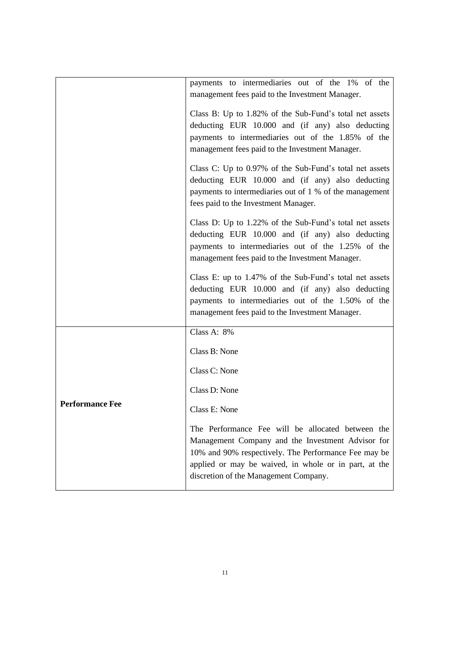|                        | payments to intermediaries out of the 1% of the<br>management fees paid to the Investment Manager.                                                                                                                                                               |
|------------------------|------------------------------------------------------------------------------------------------------------------------------------------------------------------------------------------------------------------------------------------------------------------|
|                        | Class B: Up to 1.82% of the Sub-Fund's total net assets<br>deducting EUR 10.000 and (if any) also deducting<br>payments to intermediaries out of the 1.85% of the<br>management fees paid to the Investment Manager.                                             |
|                        | Class C: Up to 0.97% of the Sub-Fund's total net assets<br>deducting EUR 10.000 and (if any) also deducting<br>payments to intermediaries out of 1 % of the management<br>fees paid to the Investment Manager.                                                   |
|                        | Class D: Up to 1.22% of the Sub-Fund's total net assets<br>deducting EUR 10.000 and (if any) also deducting<br>payments to intermediaries out of the 1.25% of the<br>management fees paid to the Investment Manager.                                             |
|                        | Class E: up to 1.47% of the Sub-Fund's total net assets<br>deducting EUR 10.000 and (if any) also deducting<br>payments to intermediaries out of the 1.50% of the<br>management fees paid to the Investment Manager.                                             |
|                        | Class A: 8%                                                                                                                                                                                                                                                      |
| <b>Performance Fee</b> | Class B: None                                                                                                                                                                                                                                                    |
|                        | Class C: None                                                                                                                                                                                                                                                    |
|                        | Class D: None                                                                                                                                                                                                                                                    |
|                        | Class E: None                                                                                                                                                                                                                                                    |
|                        | The Performance Fee will be allocated between the<br>Management Company and the Investment Advisor for<br>10% and 90% respectively. The Performance Fee may be<br>applied or may be waived, in whole or in part, at the<br>discretion of the Management Company. |